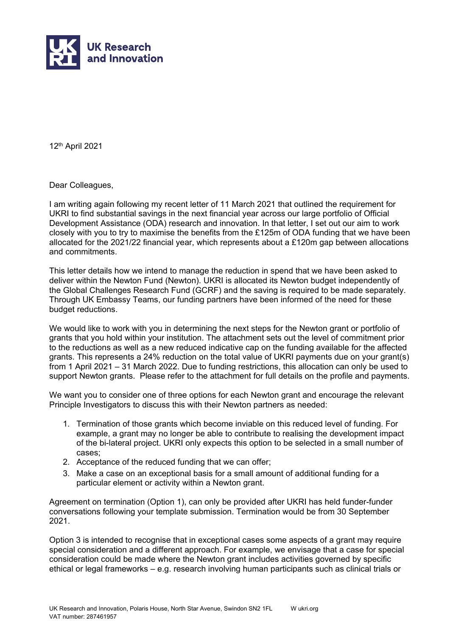

12th April 2021

Dear Colleagues,

I am writing again following my recent letter of 11 March 2021 that outlined the requirement for UKRI to find substantial savings in the next financial year across our large portfolio of Official Development Assistance (ODA) research and innovation. In that letter, I set out our aim to work closely with you to try to maximise the benefits from the £125m of ODA funding that we have been allocated for the 2021/22 financial year, which represents about a £120m gap between allocations and commitments.

This letter details how we intend to manage the reduction in spend that we have been asked to deliver within the Newton Fund (Newton). UKRI is allocated its Newton budget independently of the Global Challenges Research Fund (GCRF) and the saving is required to be made separately. Through UK Embassy Teams, our funding partners have been informed of the need for these budget reductions.

We would like to work with you in determining the next steps for the Newton grant or portfolio of grants that you hold within your institution. The attachment sets out the level of commitment prior to the reductions as well as a new reduced indicative cap on the funding available for the affected grants. This represents a 24% reduction on the total value of UKRI payments due on your grant(s) from 1 April 2021 – 31 March 2022. Due to funding restrictions, this allocation can only be used to support Newton grants. Please refer to the attachment for full details on the profile and payments.

We want you to consider one of three options for each Newton grant and encourage the relevant Principle Investigators to discuss this with their Newton partners as needed:

- 1. Termination of those grants which become inviable on this reduced level of funding. For example, a grant may no longer be able to contribute to realising the development impact of the bi-lateral project. UKRI only expects this option to be selected in a small number of cases;
- 2. Acceptance of the reduced funding that we can offer;
- 3. Make a case on an exceptional basis for a small amount of additional funding for a particular element or activity within a Newton grant.

Agreement on termination (Option 1), can only be provided after UKRI has held funder-funder conversations following your template submission. Termination would be from 30 September 2021.

Option 3 is intended to recognise that in exceptional cases some aspects of a grant may require special consideration and a different approach. For example, we envisage that a case for special consideration could be made where the Newton grant includes activities governed by specific ethical or legal frameworks – e.g. research involving human participants such as clinical trials or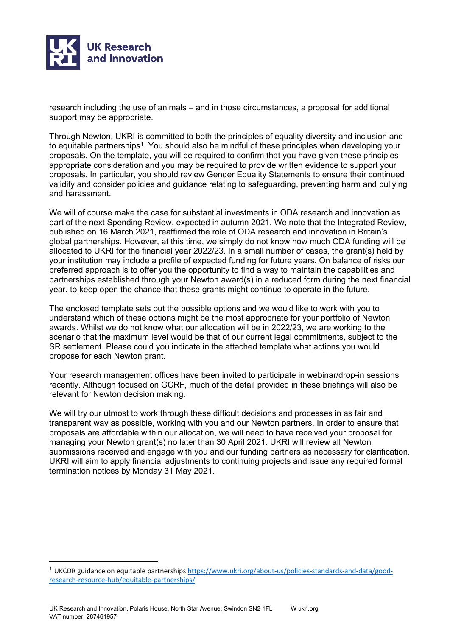

research including the use of animals – and in those circumstances, a proposal for additional support may be appropriate.

Through Newton, UKRI is committed to both the principles of equality diversity and inclusion and to equitable partnerships<sup>[1](#page-1-0)</sup>. You should also be mindful of these principles when developing your proposals. On the template, you will be required to confirm that you have given these principles appropriate consideration and you may be required to provide written evidence to support your proposals. In particular, you should review Gender Equality Statements to ensure their continued validity and consider policies and guidance relating to safeguarding, preventing harm and bullying and harassment.

We will of course make the case for substantial investments in ODA research and innovation as part of the next Spending Review, expected in autumn 2021. We note that the Integrated Review, published on 16 March 2021, reaffirmed the role of ODA research and innovation in Britain's global partnerships. However, at this time, we simply do not know how much ODA funding will be allocated to UKRI for the financial year 2022/23. In a small number of cases, the grant(s) held by your institution may include a profile of expected funding for future years. On balance of risks our preferred approach is to offer you the opportunity to find a way to maintain the capabilities and partnerships established through your Newton award(s) in a reduced form during the next financial year, to keep open the chance that these grants might continue to operate in the future.

The enclosed template sets out the possible options and we would like to work with you to understand which of these options might be the most appropriate for your portfolio of Newton awards. Whilst we do not know what our allocation will be in 2022/23, we are working to the scenario that the maximum level would be that of our current legal commitments, subject to the SR settlement. Please could you indicate in the attached template what actions you would propose for each Newton grant.

Your research management offices have been invited to participate in webinar/drop-in sessions recently. Although focused on GCRF, much of the detail provided in these briefings will also be relevant for Newton decision making.

We will try our utmost to work through these difficult decisions and processes in as fair and transparent way as possible, working with you and our Newton partners. In order to ensure that proposals are affordable within our allocation, we will need to have received your proposal for managing your Newton grant(s) no later than 30 April 2021. UKRI will review all Newton submissions received and engage with you and our funding partners as necessary for clarification. UKRI will aim to apply financial adjustments to continuing projects and issue any required formal termination notices by Monday 31 May 2021.

<span id="page-1-0"></span><sup>1</sup> UKCDR guidance on equitable partnership[s https://www.ukri.org/about-us/policies-standards-and-data/good](https://www.ukri.org/about-us/policies-standards-and-data/good-research-resource-hub/equitable-partnerships/)[research-resource-hub/equitable-partnerships/](https://www.ukri.org/about-us/policies-standards-and-data/good-research-resource-hub/equitable-partnerships/)